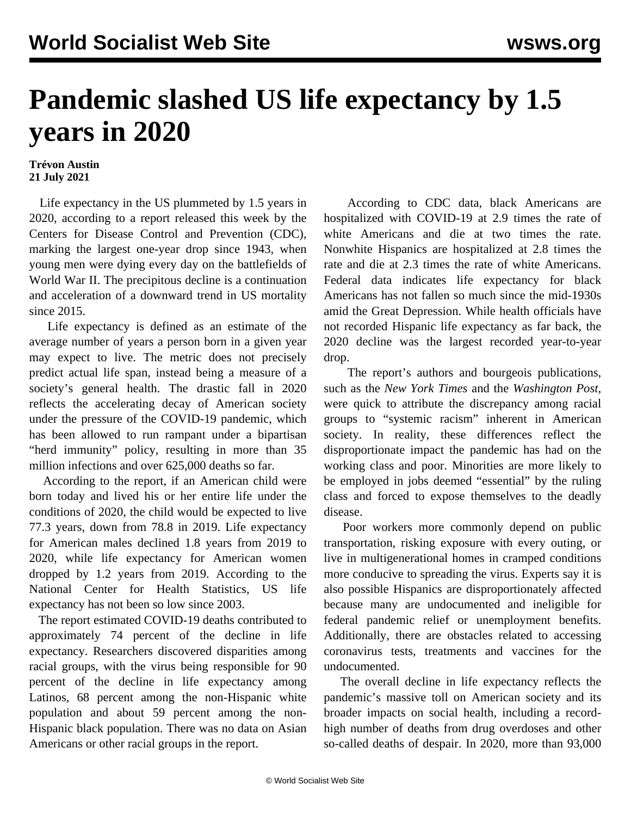## **Pandemic slashed US life expectancy by 1.5 years in 2020**

## **Trévon Austin 21 July 2021**

 Life expectancy in the US plummeted by 1.5 years in 2020, according to a report released this week by the Centers for Disease Control and Prevention (CDC), marking the largest one-year drop since 1943, when young men were dying every day on the battlefields of World War II. The precipitous decline is a continuation and acceleration of a downward trend in US mortality since 2015.

 Life expectancy is defined as an estimate of the average number of years a person born in a given year may expect to live. The metric does not precisely predict actual life span, instead being a measure of a society's general health. The drastic fall in 2020 reflects the accelerating decay of American society under the pressure of the COVID-19 pandemic, which has been allowed to run rampant under a bipartisan "herd immunity" policy, resulting in more than 35 million infections and over 625,000 deaths so far.

 According to the report, if an American child were born today and lived his or her entire life under the conditions of 2020, the child would be expected to live 77.3 years, down from 78.8 in 2019. Life expectancy for American males declined 1.8 years from 2019 to 2020, while life expectancy for American women dropped by 1.2 years from 2019. According to the National Center for Health Statistics, US life expectancy has not been so low since 2003.

 The report estimated COVID-19 deaths contributed to approximately 74 percent of the decline in life expectancy. Researchers discovered disparities among racial groups, with the virus being responsible for 90 percent of the decline in life expectancy among Latinos, 68 percent among the non-Hispanic white population and about 59 percent among the non-Hispanic black population. There was no data on Asian Americans or other racial groups in the report.

 According to CDC data, black Americans are hospitalized with COVID-19 at 2.9 times the rate of white Americans and die at two times the rate. Nonwhite Hispanics are hospitalized at 2.8 times the rate and die at 2.3 times the rate of white Americans. Federal data indicates life expectancy for black Americans has not fallen so much since the mid-1930s amid the Great Depression. While health officials have not recorded Hispanic life expectancy as far back, the 2020 decline was the largest recorded year-to-year drop.

 The report's authors and bourgeois publications, such as the *New York Times* and the *Washington Post*, were quick to attribute the discrepancy among racial groups to "systemic racism" inherent in American society. In reality, these differences reflect the disproportionate impact the pandemic has had on the working class and poor. Minorities are more likely to be employed in jobs deemed "essential" by the ruling class and forced to expose themselves to the deadly disease.

 Poor workers more commonly depend on public transportation, risking exposure with every outing, or live in multigenerational homes in cramped conditions more conducive to spreading the virus. Experts say it is also possible Hispanics are disproportionately affected because many are undocumented and ineligible for federal pandemic relief or unemployment benefits. Additionally, there are obstacles related to accessing coronavirus tests, treatments and vaccines for the undocumented.

 The overall decline in life expectancy reflects the pandemic's massive toll on American society and its broader impacts on social health, including a recordhigh number of deaths from drug overdoses and other so-called deaths of despair. In 2020, more than 93,000